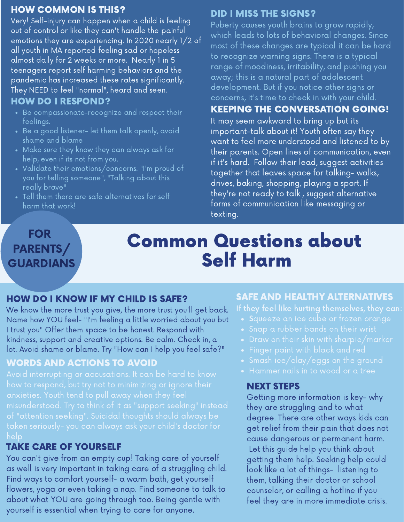#### HOW COMMON IS THIS?

Very! Self-injury can happen when a child is feeling out of control or like they can't handle the painful emotions they are experiencing. In 2020 nearly 1/2 of all youth in MA reported feeling sad or hopeless almost daily for 2 weeks or more. Nearly 1 in 5 teenagers report self harming behaviors and the pandemic has increased these rates significantly. They NEED to feel "normal", heard and seen.

#### HOW DO I RESPOND?

- Be compassionate-recognize and respect their feelings.
- $\overline{\phantom{a}}$  Be a good listener- let them talk openly, avoid shame and blame
- Make sure they know they can always ask for help, even if its not from you.
- Validate their emotions/concerns. "I'm proud of you for telling someone", "Talking about this really brave"
- Tell them there are safe alternatives for self harm that work!

#### DID I MISS THE SIGNS?

Puberty causes youth brains to grow rapidly, which leads to lots of behavioral changes. Since most of these changes are typical it can be hard to recognize warning signs. There is a typical range of moodiness, irritability, and pushing you away; this is a natural part of adolescent development. But if you notice other signs or concerns, it's time to check in with your child.

#### KEEPING THE CONVERSATION GOING!

It may seem awkward to bring up but its important-talk about it! Youth often say they want to feel more understood and listened to by their parents. Open lines of communication, even if it's hard. Follow their lead, suggest activities together that leaves space for talking- walks, drives, baking, shopping, playing a sport. If they're not ready to talk , suggest alternative forms of communication like messaging or texting.

#### FOR PARENTS/ **GUARDIANS**

# Common Questions about Self Harm

#### HOW DO I KNOW IF MY CHILD IS SAFE?

We know the more trust you give, the more trust you'll get back. Name how YOU feel- "I'm feeling a little worried about you but I trust you" Offer them space to be honest. Respond with kindness, support and creative options. Be calm. Check in, a lot. Avoid shame or blame. Try "How can I help you feel safe?"

#### WORDS AND ACTIONS TO AVOID

#### TAKE CARE OF YOURSELF

You can't give from an empty cup! Taking care of yourself as well is very important in taking care of a struggling child. Find ways to comfort yourself- a warm bath, get yourself flowers, yoga or even taking a nap. Find someone to talk to about what YOU are going through too. Being gentle with yourself is essential when trying to care for anyone.

#### SAFE AND HEALTHY ALTERNATIVES

- 
- 
- 
- 
- 
- Hammer nails in to wood or a tree

#### NEXT STEPS

Getting more information is key- why they are struggling and to what degree. There are other ways kids can get relief from their pain that does not cause dangerous or permanent harm. Let this guide help you think about getting them help. Seeking help could look like a lot of things- listening to them, talking their doctor or school counselor, or calling a hotline if you feel they are in more immediate crisis.